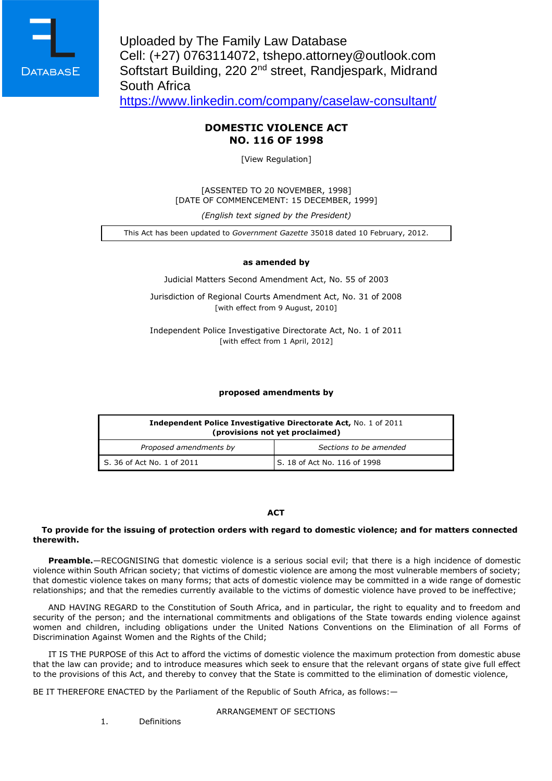

Uploaded by The Family Law Database Cell: (+27) 0763114072, tshepo.attorney@outlook.com Softstart Building, 220 2nd street, Randjespark, Midrand South Africa

<https://www.linkedin.com/company/caselaw-consultant/>

### **DOMESTIC VIOLENCE ACT NO. 116 OF 1998**

[View Regulation]

[ASSENTED TO 20 NOVEMBER, 1998] [DATE OF COMMENCEMENT: 15 DECEMBER, 1999]

*(English text signed by the President)*

This Act has been updated to *Government Gazette* 35018 dated 10 February, 2012.

### **as amended by**

Judicial Matters Second Amendment Act, No. 55 of 2003

Jurisdiction of Regional Courts Amendment Act, No. 31 of 2008 [with effect from 9 August, 2010]

Independent Police Investigative Directorate Act, No. 1 of 2011 [with effect from 1 April, 2012]

### **proposed amendments by**

| <b>Independent Police Investigative Directorate Act, No. 1 of 2011</b><br>(provisions not yet proclaimed) |                              |
|-----------------------------------------------------------------------------------------------------------|------------------------------|
| Proposed amendments by                                                                                    | Sections to be amended       |
| $\mid$ S. 36 of Act No. 1 of 2011                                                                         | S. 18 of Act No. 116 of 1998 |

#### **ACT**

### **To provide for the issuing of protection orders with regard to domestic violence; and for matters connected therewith.**

**Preamble.**—RECOGNISING that domestic violence is a serious social evil; that there is a high incidence of domestic violence within South African society; that victims of domestic violence are among the most vulnerable members of society; that domestic violence takes on many forms; that acts of domestic violence may be committed in a wide range of domestic relationships; and that the remedies currently available to the victims of domestic violence have proved to be ineffective;

AND HAVING REGARD to the Constitution of South Africa, and in particular, the right to equality and to freedom and security of the person; and the international commitments and obligations of the State towards ending violence against women and children, including obligations under the United Nations Conventions on the Elimination of all Forms of Discrimination Against Women and the Rights of the Child;

IT IS THE PURPOSE of this Act to afford the victims of domestic violence the maximum protection from domestic abuse that the law can provide; and to introduce measures which seek to ensure that the relevant organs of state give full effect to the provisions of this Act, and thereby to convey that the State is committed to the elimination of domestic violence,

BE IT THEREFORE ENACTED by the Parliament of the Republic of South Africa, as follows:—

#### ARRANGEMENT OF SECTIONS

1. Definitions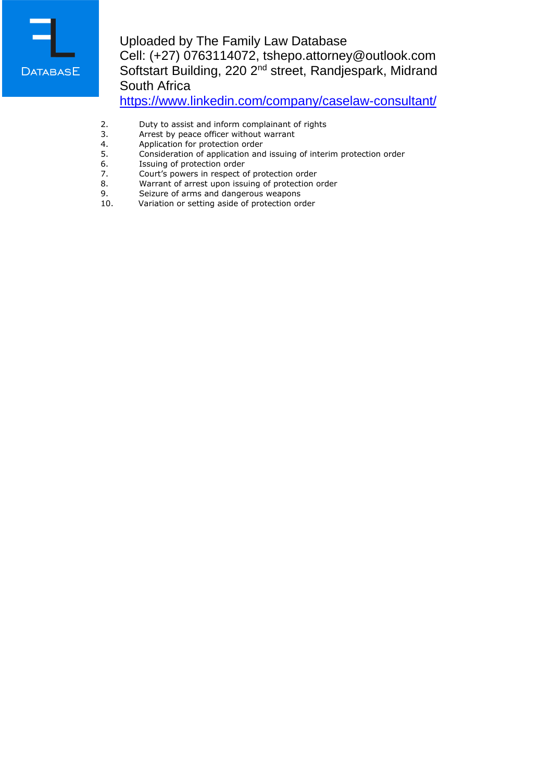

# Uploaded by The Family Law Database Cell: (+27) 0763114072, tshepo.attorney@outlook.com Softstart Building, 220 2<sup>nd</sup> street, Randjespark, Midrand South Africa

<https://www.linkedin.com/company/caselaw-consultant/>

- 2. Duty to assist and inform complainant of rights<br>3. Arrest by peace officer without warrant
- 3. Arrest by peace officer without warrant<br>4. Application for protection order
- 4. Application for protection order<br>5. Consideration of application and
- 5. Consideration of application and issuing of interim protection order
- 6. Issuing of protection order<br>7. Court's powers in respect o
- 7. Court's powers in respect of protection order<br>8. Warrant of arrest upon issuing of protection of
- 8. Warrant of arrest upon issuing of protection order<br>9. Seizure of arms and dangerous weapons
- 9. Seizure of arms and dangerous weapons<br>10. Variation or setting aside of protection or
- Variation or setting aside of protection order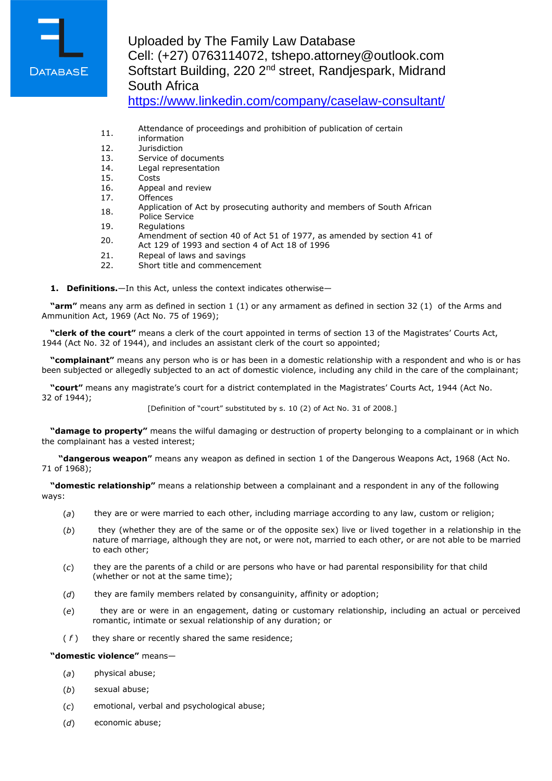

# Uploaded by The Family Law Database Cell: (+27) 0763114072, tshepo.attorney@outlook.com Softstart Building, 220 2nd street, Randjespark, Midrand South Africa

<https://www.linkedin.com/company/caselaw-consultant/>

- 11. Attendance of proceedings and prohibition of publication of certain
- information
- 12. Jurisdiction
- 13. Service of documents
- 14. Legal representation
- 15. Costs<br>16. Appea
- Appeal and review
- 17. Offences
- 18. Application of Act by prosecuting authority and members of South African
- Police Service
- 19. Regulations
- 20. Amendment of section 40 of Act 51 of 1977, as amended by section 41 of
- Act 129 of 1993 and section 4 of Act 18 of 1996
- 21. Repeal of laws and savings
- 22. Short title and commencement
- **1. Definitions.**—In this Act, unless the context indicates otherwise—

**"arm"** means any arm as defined in section 1 (1) or any armament as defined in section 32 (1) of the Arms and Ammunition Act, 1969 (Act No. 75 of 1969);

**"clerk of the court"** means a clerk of the court appointed in terms of section 13 of the Magistrates' Courts Act, 1944 (Act No. 32 of 1944), and includes an assistant clerk of the court so appointed;

**"complainant"** means any person who is or has been in a domestic relationship with a respondent and who is or has been subjected or allegedly subjected to an act of domestic violence, including any child in the care of the complainant;

**"court"** means any magistrate's court for a district contemplated in the Magistrates' Courts Act, 1944 (Act No. 32 of 1944);

[Definition of "court" substituted by s. 10 (2) of Act No. 31 of 2008.]

**"damage to property"** means the wilful damaging or destruction of property belonging to a complainant or in which the complainant has a vested interest;

**"dangerous weapon"** means any weapon as defined in section 1 of the Dangerous Weapons Act, 1968 (Act No. 71 of 1968);

**"domestic relationship"** means a relationship between a complainant and a respondent in any of the following ways:

- (*a*) they are or were married to each other, including marriage according to any law, custom or religion;
- (*b*) they (whether they are of the same or of the opposite sex) live or lived together in a relationship in the nature of marriage, although they are not, or were not, married to each other, or are not able to be married to each other;
- (*c*) they are the parents of a child or are persons who have or had parental responsibility for that child (whether or not at the same time);
- (*d*) they are family members related by consanguinity, affinity or adoption;
- (*e*) they are or were in an engagement, dating or customary relationship, including an actual or perceived romantic, intimate or sexual relationship of any duration; or
- ( *f* ) they share or recently shared the same residence;

### **"domestic violence"** means—

- (*a*) physical abuse;
- (*b*) sexual abuse;
- (*c*) emotional, verbal and psychological abuse;
- (*d*) economic abuse;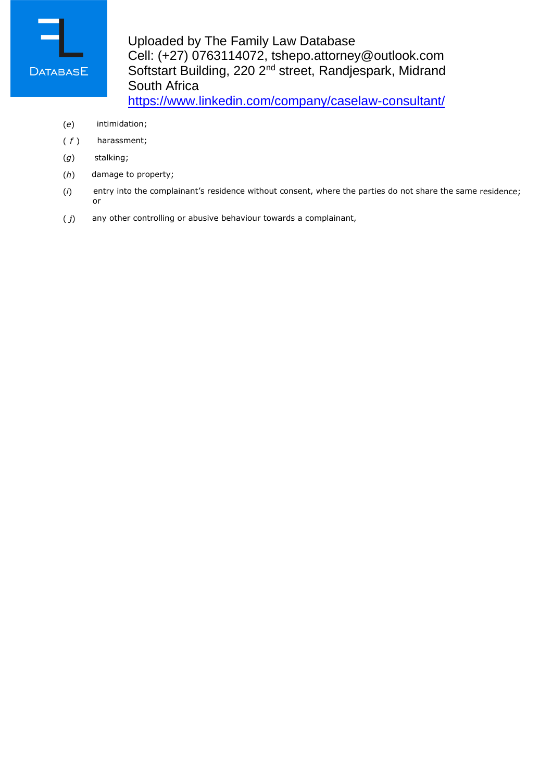

Uploaded by The Family Law Database Cell: (+27) 0763114072, tshepo.attorney@outlook.com Softstart Building, 220 2<sup>nd</sup> street, Randjespark, Midrand South Africa <https://www.linkedin.com/company/caselaw-consultant/>

- (*e*) intimidation;
- ( *f* ) harassment;
- (*g*) stalking;
- (*h*) damage to property;
- (*i*) entry into the complainant's residence without consent, where the parties do not share the same residence; or
- ( *j*) any other controlling or abusive behaviour towards a complainant,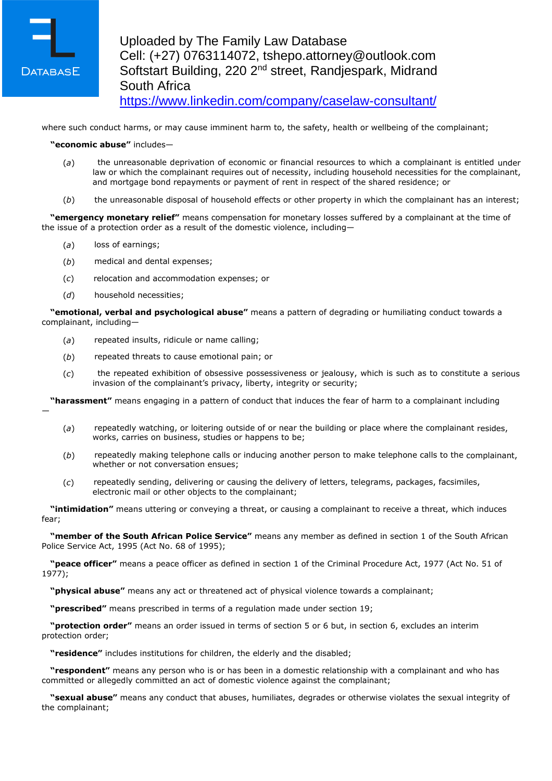

—

where such conduct harms, or may cause imminent harm to, the safety, health or wellbeing of the complainant;

### **"economic abuse"** includes—

- (*a*) the unreasonable deprivation of economic or financial resources to which a complainant is entitled under law or which the complainant requires out of necessity, including household necessities for the complainant, and mortgage bond repayments or payment of rent in respect of the shared residence; or
- (*b*) the unreasonable disposal of household effects or other property in which the complainant has an interest;

**"emergency monetary relief"** means compensation for monetary losses suffered by a complainant at the time of the issue of a protection order as a result of the domestic violence, including—

- (*a*) loss of earnings;
- (*b*) medical and dental expenses;
- (*c*) relocation and accommodation expenses; or
- (*d*) household necessities;

**"emotional, verbal and psychological abuse"** means a pattern of degrading or humiliating conduct towards a complainant, including—

- (*a*) repeated insults, ridicule or name calling;
- (*b*) repeated threats to cause emotional pain; or
- (*c*) the repeated exhibition of obsessive possessiveness or jealousy, which is such as to constitute a serious invasion of the complainant's privacy, liberty, integrity or security;

**"harassment"** means engaging in a pattern of conduct that induces the fear of harm to a complainant including

- (*a*) repeatedly watching, or loitering outside of or near the building or place where the complainant resides, works, carries on business, studies or happens to be;
- (*b*) repeatedly making telephone calls or inducing another person to make telephone calls to the complainant, whether or not conversation ensues;
- (*c*) repeatedly sending, delivering or causing the delivery of letters, telegrams, packages, facsimiles, electronic mail or other objects to the complainant;

**"intimidation"** means uttering or conveying a threat, or causing a complainant to receive a threat, which induces fear;

**"member of the South African Police Service"** means any member as defined in section 1 of the South African Police Service Act, 1995 (Act No. 68 of 1995);

**"peace officer"** means a peace officer as defined in section 1 of the Criminal Procedure Act, 1977 (Act No. 51 of 1977);

**"physical abuse"** means any act or threatened act of physical violence towards a complainant;

**"prescribed"** means prescribed in terms of a regulation made under section 19;

**"protection order"** means an order issued in terms of section 5 or 6 but, in section 6, excludes an interim protection order;

**"residence"** includes institutions for children, the elderly and the disabled;

**"respondent"** means any person who is or has been in a domestic relationship with a complainant and who has committed or allegedly committed an act of domestic violence against the complainant;

**"sexual abuse"** means any conduct that abuses, humiliates, degrades or otherwise violates the sexual integrity of the complainant;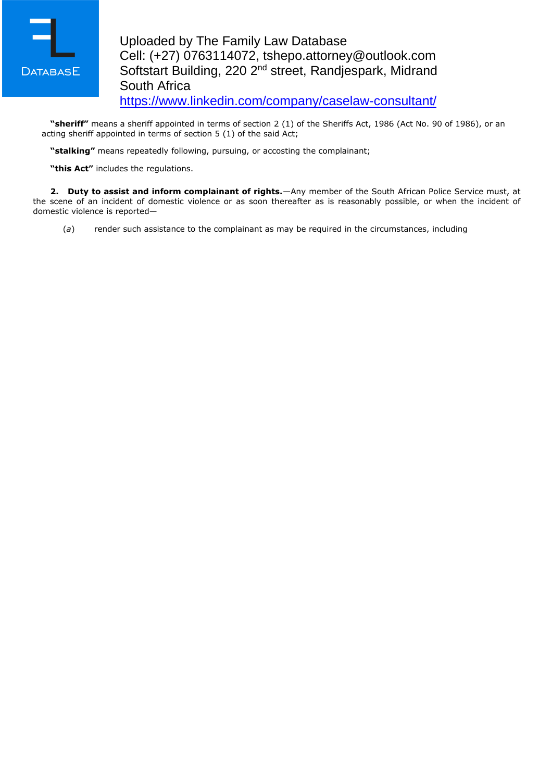

**"sheriff"** means a sheriff appointed in terms of section 2 (1) of the Sheriffs Act, 1986 (Act No. 90 of 1986), or an acting sheriff appointed in terms of section 5 (1) of the said Act;

**"stalking"** means repeatedly following, pursuing, or accosting the complainant;

**"this Act"** includes the regulations.

**2. Duty to assist and inform complainant of rights.**—Any member of the South African Police Service must, at the scene of an incident of domestic violence or as soon thereafter as is reasonably possible, or when the incident of domestic violence is reported—

(*a*) render such assistance to the complainant as may be required in the circumstances, including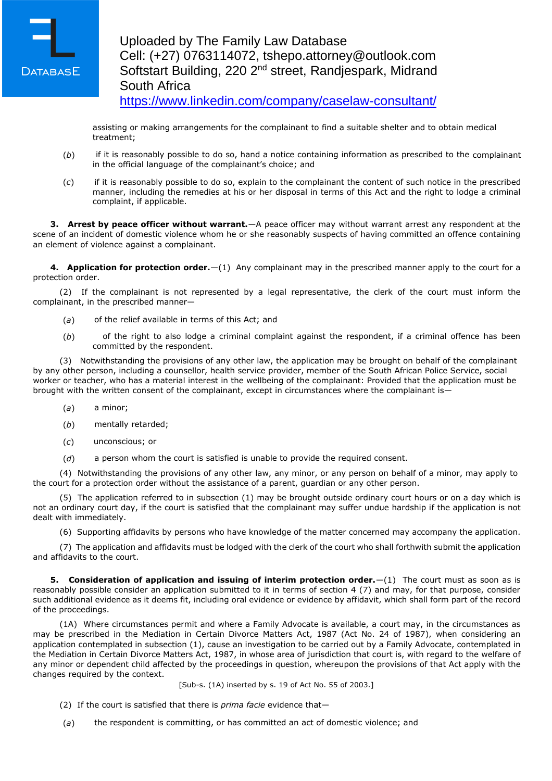

assisting or making arrangements for the complainant to find a suitable shelter and to obtain medical treatment;

- (*b*) if it is reasonably possible to do so, hand a notice containing information as prescribed to the complainant in the official language of the complainant's choice; and
- (*c*) if it is reasonably possible to do so, explain to the complainant the content of such notice in the prescribed manner, including the remedies at his or her disposal in terms of this Act and the right to lodge a criminal complaint, if applicable.

**3. Arrest by peace officer without warrant.**—A peace officer may without warrant arrest any respondent at the scene of an incident of domestic violence whom he or she reasonably suspects of having committed an offence containing an element of violence against a complainant.

**4. Application for protection order.**—(1) Any complainant may in the prescribed manner apply to the court for a protection order.

(2) If the complainant is not represented by a legal representative, the clerk of the court must inform the complainant, in the prescribed manner—

- (*a*) of the relief available in terms of this Act; and
- (*b*) of the right to also lodge a criminal complaint against the respondent, if a criminal offence has been committed by the respondent.

(3) Notwithstanding the provisions of any other law, the application may be brought on behalf of the complainant by any other person, including a counsellor, health service provider, member of the South African Police Service, social worker or teacher, who has a material interest in the wellbeing of the complainant: Provided that the application must be brought with the written consent of the complainant, except in circumstances where the complainant is—

- (*a*) a minor;
- (*b*) mentally retarded;
- (*c*) unconscious; or
- (*d*) a person whom the court is satisfied is unable to provide the required consent.

(4) Notwithstanding the provisions of any other law, any minor, or any person on behalf of a minor, may apply to the court for a protection order without the assistance of a parent, guardian or any other person.

(5) The application referred to in subsection (1) may be brought outside ordinary court hours or on a day which is not an ordinary court day, if the court is satisfied that the complainant may suffer undue hardship if the application is not dealt with immediately.

(6) Supporting affidavits by persons who have knowledge of the matter concerned may accompany the application.

(7) The application and affidavits must be lodged with the clerk of the court who shall forthwith submit the application and affidavits to the court.

**5. Consideration of application and issuing of interim protection order.**—(1) The court must as soon as is reasonably possible consider an application submitted to it in terms of section 4 (7) and may, for that purpose, consider such additional evidence as it deems fit, including oral evidence or evidence by affidavit, which shall form part of the record of the proceedings.

(1A) Where circumstances permit and where a Family Advocate is available, a court may, in the circumstances as may be prescribed in the Mediation in Certain Divorce Matters Act, 1987 (Act No. 24 of 1987), when considering an application contemplated in subsection (1), cause an investigation to be carried out by a Family Advocate, contemplated in the Mediation in Certain Divorce Matters Act, 1987, in whose area of jurisdiction that court is, with regard to the welfare of any minor or dependent child affected by the proceedings in question, whereupon the provisions of that Act apply with the changes required by the context.

[Sub-s. (1A) inserted by s. 19 of Act No. 55 of 2003.]

- (2) If the court is satisfied that there is *prima facie* evidence that—
- (*a*) the respondent is committing, or has committed an act of domestic violence; and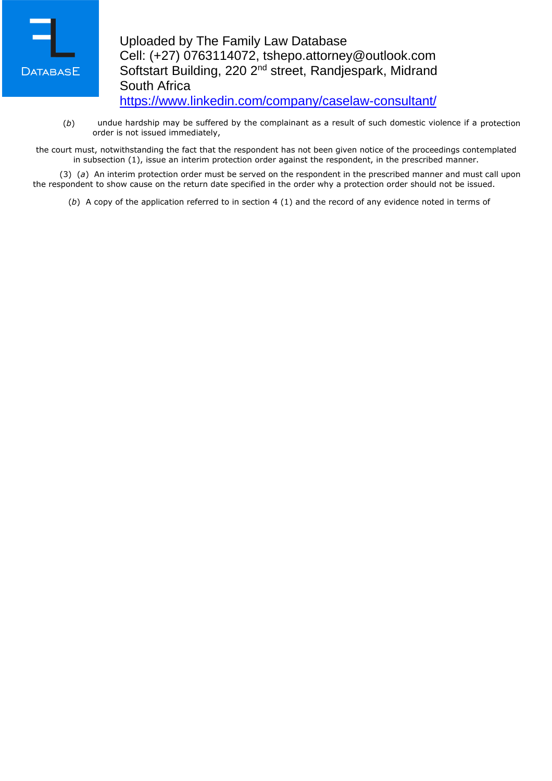

(*b*) undue hardship may be suffered by the complainant as a result of such domestic violence if a protection order is not issued immediately,

the court must, notwithstanding the fact that the respondent has not been given notice of the proceedings contemplated in subsection (1), issue an interim protection order against the respondent, in the prescribed manner.

(3) (*a*) An interim protection order must be served on the respondent in the prescribed manner and must call upon the respondent to show cause on the return date specified in the order why a protection order should not be issued.

(*b*) A copy of the application referred to in section 4 (1) and the record of any evidence noted in terms of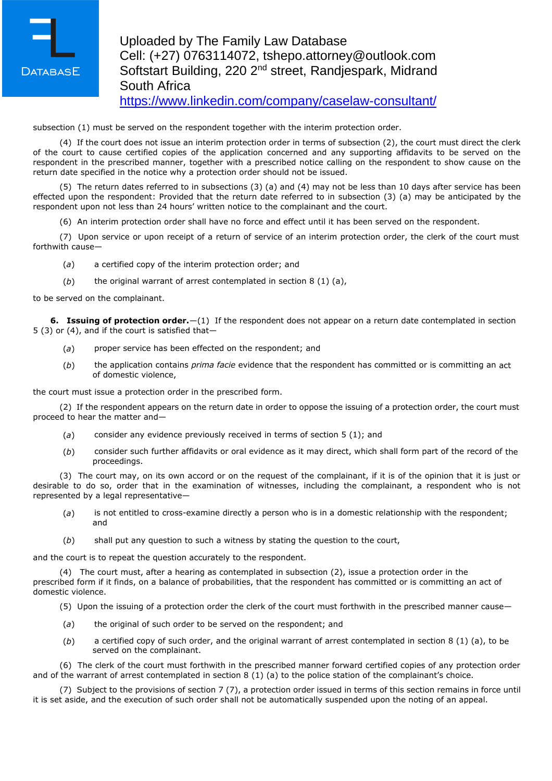

subsection (1) must be served on the respondent together with the interim protection order.

(4) If the court does not issue an interim protection order in terms of subsection (2), the court must direct the clerk of the court to cause certified copies of the application concerned and any supporting affidavits to be served on the respondent in the prescribed manner, together with a prescribed notice calling on the respondent to show cause on the return date specified in the notice why a protection order should not be issued.

(5) The return dates referred to in subsections (3) (a) and (4) may not be less than 10 days after service has been effected upon the respondent: Provided that the return date referred to in subsection (3) (a) may be anticipated by the respondent upon not less than 24 hours' written notice to the complainant and the court.

(6) An interim protection order shall have no force and effect until it has been served on the respondent.

(7) Upon service or upon receipt of a return of service of an interim protection order, the clerk of the court must forthwith cause—

- (*a*) a certified copy of the interim protection order; and
- (*b*) the original warrant of arrest contemplated in section 8 (1) (a),

to be served on the complainant.

**6. Issuing of protection order.**—(1) If the respondent does not appear on a return date contemplated in section 5 (3) or (4), and if the court is satisfied that—

- (*a*) proper service has been effected on the respondent; and
- (*b*) the application contains *prima facie* evidence that the respondent has committed or is committing an act of domestic violence,

the court must issue a protection order in the prescribed form.

(2) If the respondent appears on the return date in order to oppose the issuing of a protection order, the court must proceed to hear the matter and—

- (*a*) consider any evidence previously received in terms of section 5 (1); and
- (*b*) consider such further affidavits or oral evidence as it may direct, which shall form part of the record of the proceedings.

(3) The court may, on its own accord or on the request of the complainant, if it is of the opinion that it is just or desirable to do so, order that in the examination of witnesses, including the complainant, a respondent who is not represented by a legal representative—

- (*a*) is not entitled to cross-examine directly a person who is in a domestic relationship with the respondent; and
- (*b*) shall put any question to such a witness by stating the question to the court,

and the court is to repeat the question accurately to the respondent.

(4) The court must, after a hearing as contemplated in subsection (2), issue a protection order in the prescribed form if it finds, on a balance of probabilities, that the respondent has committed or is committing an act of domestic violence.

(5) Upon the issuing of a protection order the clerk of the court must forthwith in the prescribed manner cause—

- (*a*) the original of such order to be served on the respondent; and
- (*b*) a certified copy of such order, and the original warrant of arrest contemplated in section 8 (1) (a), to be served on the complainant.

(6) The clerk of the court must forthwith in the prescribed manner forward certified copies of any protection order and of the warrant of arrest contemplated in section 8 (1) (a) to the police station of the complainant's choice.

(7) Subject to the provisions of section 7 (7), a protection order issued in terms of this section remains in force until it is set aside, and the execution of such order shall not be automatically suspended upon the noting of an appeal.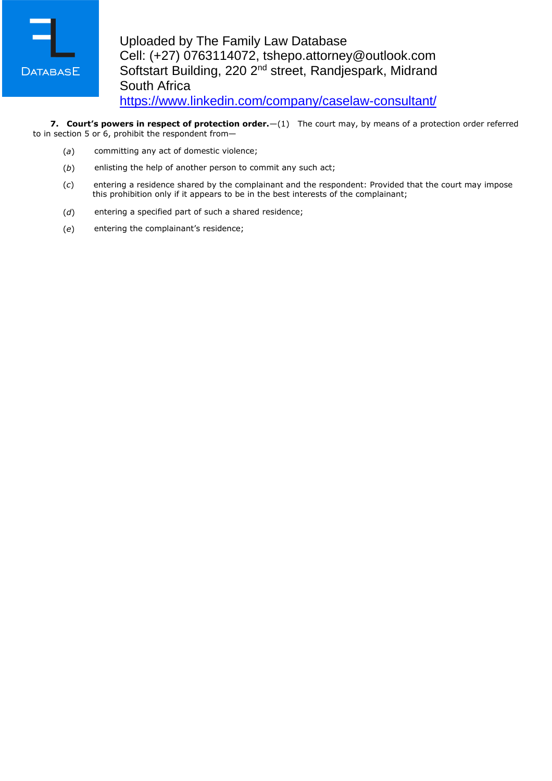

**7. Court's powers in respect of protection order.**—(1) The court may, by means of a protection order referred to in section 5 or 6, prohibit the respondent from—

- (*a*) committing any act of domestic violence;
- (*b*) enlisting the help of another person to commit any such act;
- (*c*) entering a residence shared by the complainant and the respondent: Provided that the court may impose this prohibition only if it appears to be in the best interests of the complainant;
- (*d*) entering a specified part of such a shared residence;
- (*e*) entering the complainant's residence;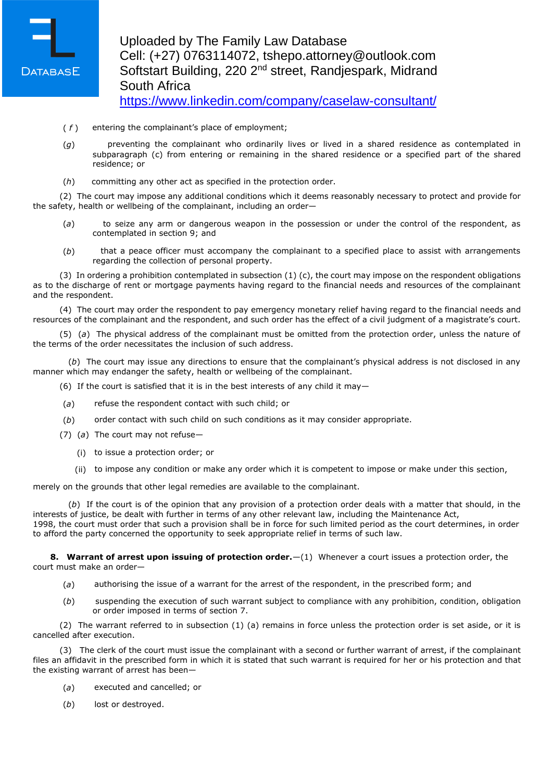

## Uploaded by The Family Law Database Cell: (+27) 0763114072, tshepo.attorney@outlook.com Softstart Building, 220 2nd street, Randjespark, Midrand South Africa <https://www.linkedin.com/company/caselaw-consultant/>

- ( *f* ) entering the complainant's place of employment;
- (*g*) preventing the complainant who ordinarily lives or lived in a shared residence as contemplated in subparagraph (c) from entering or remaining in the shared residence or a specified part of the shared residence; or
- (*h*) committing any other act as specified in the protection order.

(2) The court may impose any additional conditions which it deems reasonably necessary to protect and provide for the safety, health or wellbeing of the complainant, including an order—

- (*a*) to seize any arm or dangerous weapon in the possession or under the control of the respondent, as contemplated in section 9; and
- (*b*) that a peace officer must accompany the complainant to a specified place to assist with arrangements regarding the collection of personal property.

(3) In ordering a prohibition contemplated in subsection (1) (c), the court may impose on the respondent obligations as to the discharge of rent or mortgage payments having regard to the financial needs and resources of the complainant and the respondent.

(4) The court may order the respondent to pay emergency monetary relief having regard to the financial needs and resources of the complainant and the respondent, and such order has the effect of a civil judgment of a magistrate's court.

(5) (*a*) The physical address of the complainant must be omitted from the protection order, unless the nature of the terms of the order necessitates the inclusion of such address.

(*b*) The court may issue any directions to ensure that the complainant's physical address is not disclosed in any manner which may endanger the safety, health or wellbeing of the complainant.

- (6) If the court is satisfied that it is in the best interests of any child it may-
- (*a*) refuse the respondent contact with such child; or
- (*b*) order contact with such child on such conditions as it may consider appropriate.
- (7) (*a*) The court may not refuse—
	- (i) to issue a protection order; or
	- (ii) to impose any condition or make any order which it is competent to impose or make under this section,

merely on the grounds that other legal remedies are available to the complainant.

(*b*) If the court is of the opinion that any provision of a protection order deals with a matter that should, in the interests of justice, be dealt with further in terms of any other relevant law, including the Maintenance Act, 1998, the court must order that such a provision shall be in force for such limited period as the court determines, in order to afford the party concerned the opportunity to seek appropriate relief in terms of such law.

**8. Warrant of arrest upon issuing of protection order.**—(1) Whenever a court issues a protection order, the court must make an order—

- (*a*) authorising the issue of a warrant for the arrest of the respondent, in the prescribed form; and
- (*b*) suspending the execution of such warrant subject to compliance with any prohibition, condition, obligation or order imposed in terms of section 7.

(2) The warrant referred to in subsection (1) (a) remains in force unless the protection order is set aside, or it is cancelled after execution.

(3) The clerk of the court must issue the complainant with a second or further warrant of arrest, if the complainant files an affidavit in the prescribed form in which it is stated that such warrant is required for her or his protection and that the existing warrant of arrest has been—

- (*a*) executed and cancelled; or
- (*b*) lost or destroyed.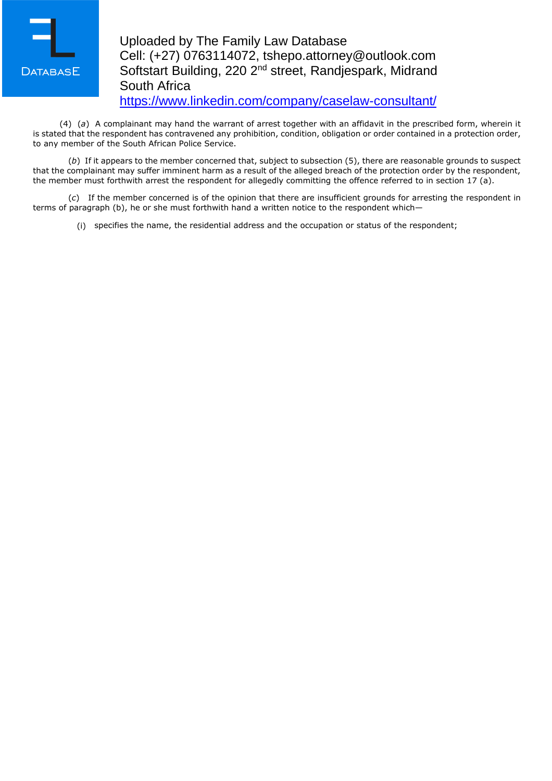

# Uploaded by The Family Law Database Cell: (+27) 0763114072, tshepo.attorney@outlook.com Softstart Building, 220 2nd street, Randjespark, Midrand South Africa <https://www.linkedin.com/company/caselaw-consultant/>

(4) (*a*) A complainant may hand the warrant of arrest together with an affidavit in the prescribed form, wherein it is stated that the respondent has contravened any prohibition, condition, obligation or order contained in a protection order, to any member of the South African Police Service.

(*b*) If it appears to the member concerned that, subject to subsection (5), there are reasonable grounds to suspect that the complainant may suffer imminent harm as a result of the alleged breach of the protection order by the respondent, the member must forthwith arrest the respondent for allegedly committing the offence referred to in section 17 (a).

(*c*) If the member concerned is of the opinion that there are insufficient grounds for arresting the respondent in terms of paragraph (b), he or she must forthwith hand a written notice to the respondent which—

(i) specifies the name, the residential address and the occupation or status of the respondent;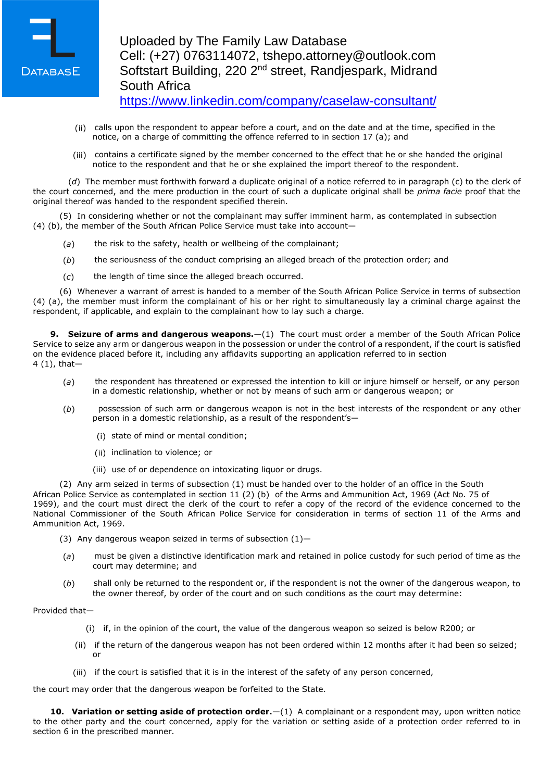

- (ii) calls upon the respondent to appear before a court, and on the date and at the time, specified in the notice, on a charge of committing the offence referred to in section 17 (a); and
- (iii) contains a certificate signed by the member concerned to the effect that he or she handed the original notice to the respondent and that he or she explained the import thereof to the respondent.

(*d*) The member must forthwith forward a duplicate original of a notice referred to in paragraph (c) to the clerk of the court concerned, and the mere production in the court of such a duplicate original shall be *prima facie* proof that the original thereof was handed to the respondent specified therein.

(5) In considering whether or not the complainant may suffer imminent harm, as contemplated in subsection (4) (b), the member of the South African Police Service must take into account—

- (*a*) the risk to the safety, health or wellbeing of the complainant;
- (*b*) the seriousness of the conduct comprising an alleged breach of the protection order; and
- (*c*) the length of time since the alleged breach occurred.

(6) Whenever a warrant of arrest is handed to a member of the South African Police Service in terms of subsection (4) (a), the member must inform the complainant of his or her right to simultaneously lay a criminal charge against the respondent, if applicable, and explain to the complainant how to lay such a charge.

**9. Seizure of arms and dangerous weapons.**—(1) The court must order a member of the South African Police Service to seize any arm or dangerous weapon in the possession or under the control of a respondent, if the court is satisfied on the evidence placed before it, including any affidavits supporting an application referred to in section 4 (1), that—

- (*a*) the respondent has threatened or expressed the intention to kill or injure himself or herself, or any person in a domestic relationship, whether or not by means of such arm or dangerous weapon; or
- (*b*) possession of such arm or dangerous weapon is not in the best interests of the respondent or any other person in a domestic relationship, as a result of the respondent's—
	- (i) state of mind or mental condition;
	- (ii) inclination to violence; or
	- (iii) use of or dependence on intoxicating liquor or drugs.

(2) Any arm seized in terms of subsection (1) must be handed over to the holder of an office in the South African Police Service as contemplated in section 11 (2) (b) of the Arms and Ammunition Act, 1969 (Act No. 75 of 1969), and the court must direct the clerk of the court to refer a copy of the record of the evidence concerned to the National Commissioner of the South African Police Service for consideration in terms of section 11 of the Arms and Ammunition Act, 1969.

(3) Any dangerous weapon seized in terms of subsection  $(1)$ -

- (*a*) must be given a distinctive identification mark and retained in police custody for such period of time as the court may determine; and
- (*b*) shall only be returned to the respondent or, if the respondent is not the owner of the dangerous weapon, to the owner thereof, by order of the court and on such conditions as the court may determine:

#### Provided that—

- (i) if, in the opinion of the court, the value of the dangerous weapon so seized is below R200; or
- (ii) if the return of the dangerous weapon has not been ordered within 12 months after it had been so seized; or
- (iii) if the court is satisfied that it is in the interest of the safety of any person concerned,

the court may order that the dangerous weapon be forfeited to the State.

**10. Variation or setting aside of protection order.**—(1) A complainant or a respondent may, upon written notice to the other party and the court concerned, apply for the variation or setting aside of a protection order referred to in section 6 in the prescribed manner.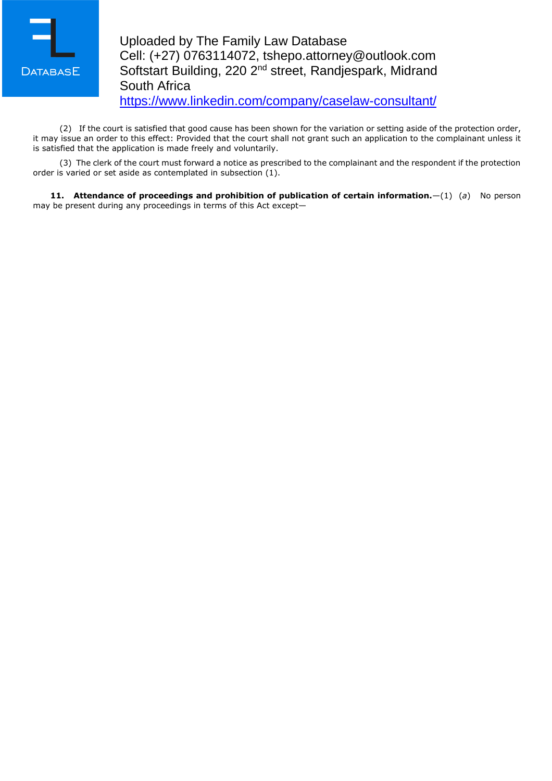

(2) If the court is satisfied that good cause has been shown for the variation or setting aside of the protection order, it may issue an order to this effect: Provided that the court shall not grant such an application to the complainant unless it is satisfied that the application is made freely and voluntarily.

(3) The clerk of the court must forward a notice as prescribed to the complainant and the respondent if the protection order is varied or set aside as contemplated in subsection (1).

**11. Attendance of proceedings and prohibition of publication of certain information.**—(1) (*a*) No person may be present during any proceedings in terms of this Act except—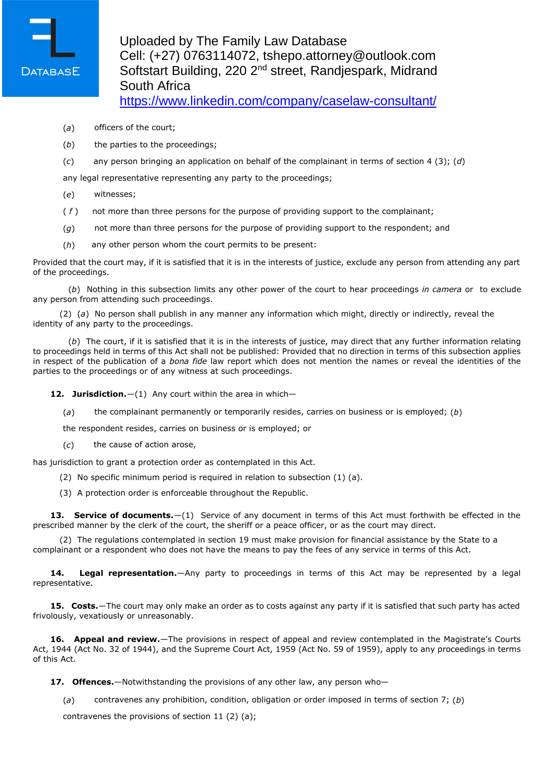

- (*a*) officers of the court;
- (*b*) the parties to the proceedings;
- (*c*) any person bringing an application on behalf of the complainant in terms of section 4 (3); (*d*)

any legal representative representing any party to the proceedings;

- (*e*) witnesses;
- ( *f* ) not more than three persons for the purpose of providing support to the complainant;
- (*g*) not more than three persons for the purpose of providing support to the respondent; and
- (*h*) any other person whom the court permits to be present:

Provided that the court may, if it is satisfied that it is in the interests of justice, exclude any person from attending any part of the proceedings.

(*b*) Nothing in this subsection limits any other power of the court to hear proceedings *in camera* or to exclude any person from attending such proceedings.

(2) (*a*) No person shall publish in any manner any information which might, directly or indirectly, reveal the identity of any party to the proceedings.

(*b*) The court, if it is satisfied that it is in the interests of justice, may direct that any further information relating to proceedings held in terms of this Act shall not be published: Provided that no direction in terms of this subsection applies in respect of the publication of a *bona fide* law report which does not mention the names or reveal the identities of the parties to the proceedings or of any witness at such proceedings.

12. Jurisdiction. - (1) Any court within the area in which-

(*a*) the complainant permanently or temporarily resides, carries on business or is employed; (*b*)

the respondent resides, carries on business or is employed; or

(*c*) the cause of action arose,

has jurisdiction to grant a protection order as contemplated in this Act.

- (2) No specific minimum period is required in relation to subsection (1) (a).
- (3) A protection order is enforceable throughout the Republic.

**13. Service of documents.**—(1) Service of any document in terms of this Act must forthwith be effected in the prescribed manner by the clerk of the court, the sheriff or a peace officer, or as the court may direct.

(2) The regulations contemplated in section 19 must make provision for financial assistance by the State to a complainant or a respondent who does not have the means to pay the fees of any service in terms of this Act.

**14. Legal representation.**—Any party to proceedings in terms of this Act may be represented by a legal representative.

**15. Costs.**—The court may only make an order as to costs against any party if it is satisfied that such party has acted frivolously, vexatiously or unreasonably.

**16. Appeal and review.**—The provisions in respect of appeal and review contemplated in the Magistrate's Courts Act, 1944 (Act No. 32 of 1944), and the Supreme Court Act, 1959 (Act No. 59 of 1959), apply to any proceedings in terms of this Act.

**17. Offences.**—Notwithstanding the provisions of any other law, any person who—

(*a*) contravenes any prohibition, condition, obligation or order imposed in terms of section 7; (*b*)

contravenes the provisions of section 11 (2) (a);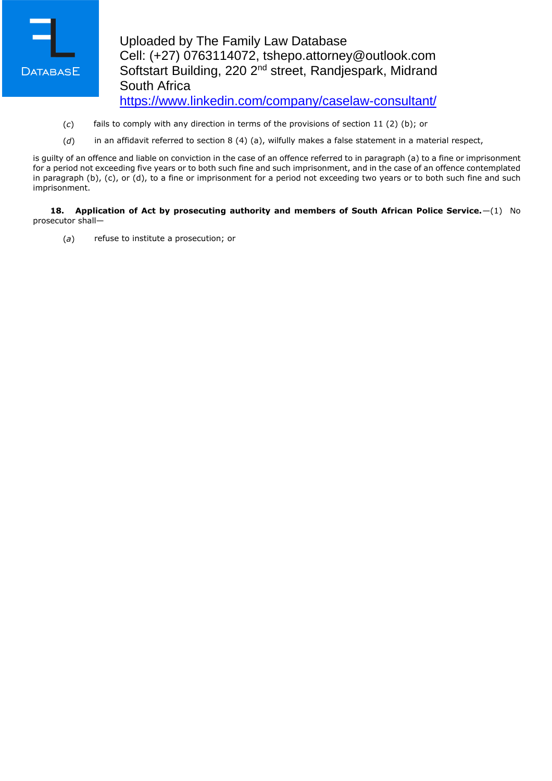

- (*c*) fails to comply with any direction in terms of the provisions of section 11 (2) (b); or
- (*d*) in an affidavit referred to section 8 (4) (a), wilfully makes a false statement in a material respect,

is guilty of an offence and liable on conviction in the case of an offence referred to in paragraph (a) to a fine or imprisonment for a period not exceeding five years or to both such fine and such imprisonment, and in the case of an offence contemplated in paragraph (b), (c), or (d), to a fine or imprisonment for a period not exceeding two years or to both such fine and such imprisonment.

**18. Application of Act by prosecuting authority and members of South African Police Service.**—(1) No prosecutor shall—

(*a*) refuse to institute a prosecution; or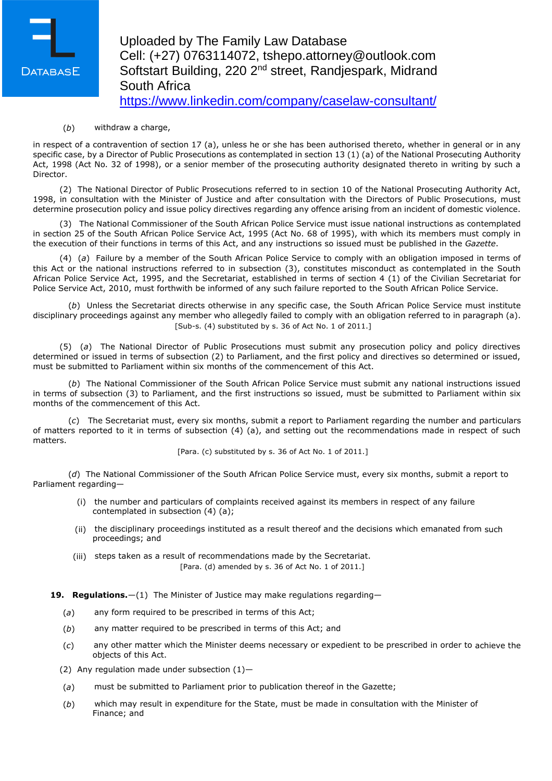

(*b*) withdraw a charge,

in respect of a contravention of section 17 (a), unless he or she has been authorised thereto, whether in general or in any specific case, by a Director of Public Prosecutions as contemplated in section 13 (1) (a) of the National Prosecuting Authority Act, 1998 (Act No. 32 of 1998), or a senior member of the prosecuting authority designated thereto in writing by such a Director.

(2) The National Director of Public Prosecutions referred to in section 10 of the National Prosecuting Authority Act, 1998, in consultation with the Minister of Justice and after consultation with the Directors of Public Prosecutions, must determine prosecution policy and issue policy directives regarding any offence arising from an incident of domestic violence.

(3) The National Commissioner of the South African Police Service must issue national instructions as contemplated in section 25 of the South African Police Service Act, 1995 (Act No. 68 of 1995), with which its members must comply in the execution of their functions in terms of this Act, and any instructions so issued must be published in the *Gazette*.

(4) (*a*) Failure by a member of the South African Police Service to comply with an obligation imposed in terms of this Act or the national instructions referred to in subsection (3), constitutes misconduct as contemplated in the South African Police Service Act, 1995, and the Secretariat, established in terms of section 4 (1) of the Civilian Secretariat for Police Service Act, 2010, must forthwith be informed of any such failure reported to the South African Police Service.

(*b*) Unless the Secretariat directs otherwise in any specific case, the South African Police Service must institute disciplinary proceedings against any member who allegedly failed to comply with an obligation referred to in paragraph (a). [Sub-s. (4) substituted by s. 36 of Act No. 1 of 2011.]

(5) (*a*) The National Director of Public Prosecutions must submit any prosecution policy and policy directives determined or issued in terms of subsection (2) to Parliament, and the first policy and directives so determined or issued, must be submitted to Parliament within six months of the commencement of this Act.

(*b*) The National Commissioner of the South African Police Service must submit any national instructions issued in terms of subsection (3) to Parliament, and the first instructions so issued, must be submitted to Parliament within six months of the commencement of this Act.

(*c*) The Secretariat must, every six months, submit a report to Parliament regarding the number and particulars of matters reported to it in terms of subsection (4) (a), and setting out the recommendations made in respect of such matters.

[Para. (c) substituted by s. 36 of Act No. 1 of 2011.]

(*d*) The National Commissioner of the South African Police Service must, every six months, submit a report to Parliament regarding—

- (i) the number and particulars of complaints received against its members in respect of any failure contemplated in subsection (4) (a);
- (ii) the disciplinary proceedings instituted as a result thereof and the decisions which emanated from such proceedings; and
- (iii) steps taken as a result of recommendations made by the Secretariat. [Para. (d) amended by s. 36 of Act No. 1 of 2011.]

**19. Regulations.**—(1) The Minister of Justice may make regulations regarding—

- (*a*) any form required to be prescribed in terms of this Act;
- (*b*) any matter required to be prescribed in terms of this Act; and
- (*c*) any other matter which the Minister deems necessary or expedient to be prescribed in order to achieve the objects of this Act.
- (2) Any regulation made under subsection  $(1)$ -
- (*a*) must be submitted to Parliament prior to publication thereof in the Gazette;
- (*b*) which may result in expenditure for the State, must be made in consultation with the Minister of Finance; and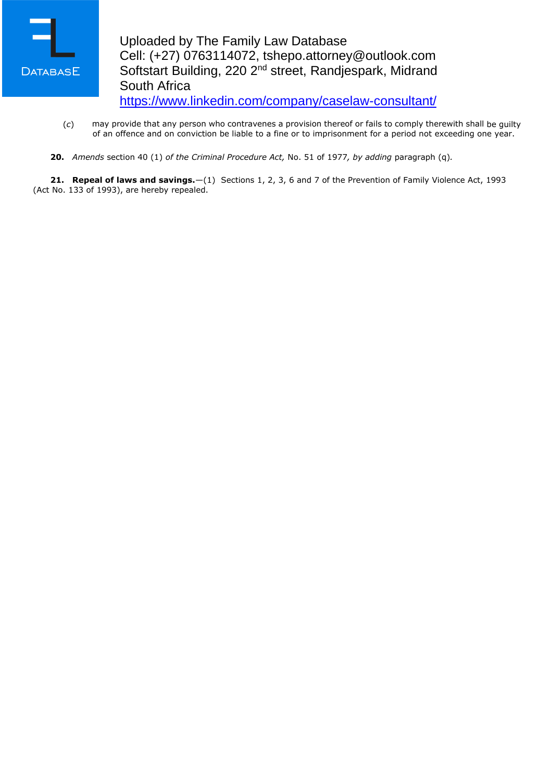

- (*c*) may provide that any person who contravenes a provision thereof or fails to comply therewith shall be guilty of an offence and on conviction be liable to a fine or to imprisonment for a period not exceeding one year.
- **20.** *Amends* section 40 (1) *of the Criminal Procedure Act,* No. 51 of 1977*, by adding* paragraph (q)*.*

**21. Repeal of laws and savings.**—(1) Sections 1, 2, 3, 6 and 7 of the Prevention of Family Violence Act, 1993 (Act No. 133 of 1993), are hereby repealed.